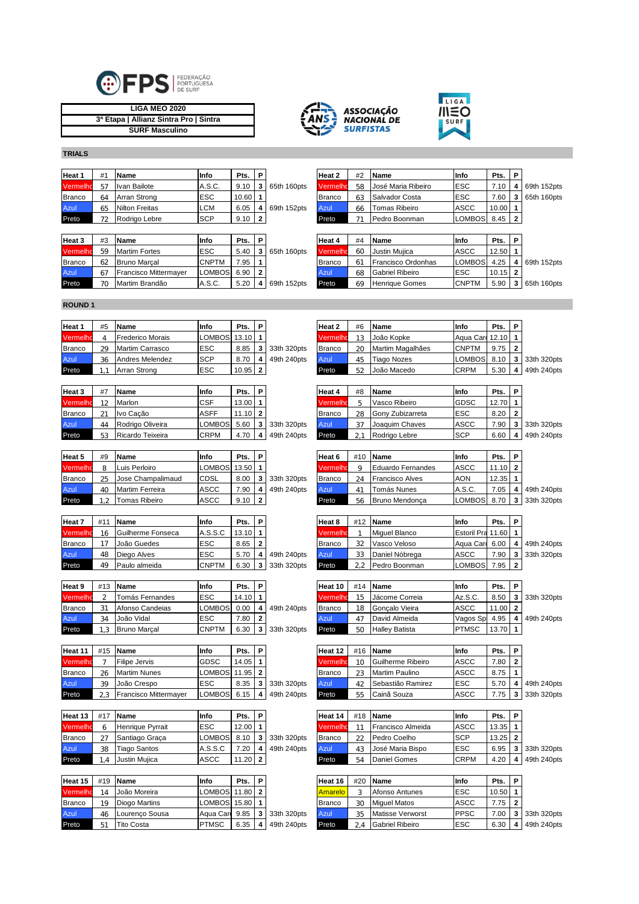

| LIGA MEO 2020                          |  |
|----------------------------------------|--|
| 3ª Etapa   Allianz Sintra Pro   Sintra |  |
| <b>SURF Masculino</b>                  |  |





**TRIALS**

| Heat 1        | #1                   | <b>Name</b>           | Info       | Pts.       | 1 D                      |             | Heat 2        | #2 | <b>Name</b>        | Info        | Pts.  | P              |               |
|---------------|----------------------|-----------------------|------------|------------|--------------------------|-------------|---------------|----|--------------------|-------------|-------|----------------|---------------|
| Vermelho      | 57                   | Ivan Bailote          | A.S.C.     | 9.10       | $\overline{\phantom{a}}$ | 65th 160pts | Vermelho      | 58 | José Maria Ribeiro | <b>ESC</b>  | 7.10  |                | 4 69th 152pts |
| <b>Branco</b> | 64                   | Arran Strong          | <b>ESC</b> | $10.60$ 1  |                          |             | <b>Branco</b> | 63 | Salvador Costa     | <b>ESC</b>  | 7.60  |                | 165th 160pts  |
| Azul          | 65                   | <b>Nilton Freitas</b> | <b>LCM</b> | 6.05       | ⊿ ا                      | 69th 152pts | Azul          | 66 | Tomas Ribeiro      | <b>ASCC</b> | 10.00 |                |               |
| Preto         | $\rightarrow$ $\sim$ | Rodrigo Lebre         | <b>SCP</b> | $9.10$   2 |                          |             | Preto         |    | Pedro Boonman      | LOMBOS 8.45 |       | $\overline{2}$ |               |

| Heat 3        | #3 | <b>Name</b>                  | Info          | Pts. | P  |             | Heat 4        | #4 | <b>Name</b>               | Info         | Pts.      | P |               |
|---------------|----|------------------------------|---------------|------|----|-------------|---------------|----|---------------------------|--------------|-----------|---|---------------|
| Vermelho      | 59 | <b>Martim Fortes</b>         | <b>ESC</b>    | 5.40 |    | 65th 160pts | Vermelho      | 60 | Justin Muiica             | ASCC         | 12.50     |   |               |
| <b>Branco</b> | 62 | <b>Bruno Marcal</b>          | <b>CNPTM</b>  | 7.95 |    |             | <b>Branco</b> |    | <b>Francisco Ordonhas</b> | LOMBOS 4.25  |           |   | 4 69th 152pts |
| Azul          |    | <b>Francisco Mittermaver</b> | <b>LOMBOS</b> | 6.90 | -2 |             | Azul          | 68 | <b>Gabriel Ribeiro</b>    | ESC          | $10.15$ 2 |   |               |
| Preto         |    | Martim Brandão               | A.S.C.        | 5.20 |    | 69th 152pts | Preto         | 69 | <b>Henrique Gomes</b>     | <b>CNPTM</b> | 5.90      |   | 65th 160pts   |

| Heat 2   | #2 | Name               | Info          | Pts.  | Ρ |             |
|----------|----|--------------------|---------------|-------|---|-------------|
| Vermelho | 58 | José Maria Ribeiro | <b>ESC</b>    | 7.10  |   | 69th 152pts |
| Branco   | 63 | Salvador Costa     | <b>ESC</b>    | 7.60  | 3 | 65th 160pts |
| Azul     | 66 | Tomas Ribeiro      | <b>ASCC</b>   | 10.00 |   |             |
| Preto    |    | Pedro Boonman      | <b>LOMBOS</b> | 8.45  | 2 |             |
|          |    |                    |               |       |   |             |

| Heat 4        | #4             | Name                   | Info          | Pts.  | P              |             |
|---------------|----------------|------------------------|---------------|-------|----------------|-------------|
| Vermelho      | 60             | Justin Muiica          | <b>ASCC</b>   | 12.50 |                |             |
| <b>Branco</b> | 6 <sup>1</sup> | Francisco Ordonhas     | <b>LOMBOS</b> | 4.25  |                | 69th 152pts |
| Azul          | 68             | <b>Gabriel Ribeiro</b> | <b>ESC</b>    | 10.15 | $\overline{2}$ |             |
| Preto         | 69             | <b>Henrique Gomes</b>  | <b>CNPTM</b>  | 5.90  | 3              | 65th 160pts |

## **ROUND 1**

| Heat 1        | #5 | <b>Name</b>             | Info             | Pts.  | P |             | Heat 2        | #6 | <b>Name</b>      | Info             | Pts. | P   |
|---------------|----|-------------------------|------------------|-------|---|-------------|---------------|----|------------------|------------------|------|-----|
| Vermelho      |    | <b>Frederico Morais</b> | LOMBOS 13.10   1 |       |   |             | Vermelho      |    | João Kopke       | Agua Car 12.10 1 |      |     |
| <b>Branco</b> | 29 | Martim Carrasco         | <b>ESC</b>       | 8.85  |   | 33th 320pts | <b>Branco</b> | 20 | Martim Magalhães | <b>CNPTM</b>     | 9.75 |     |
| Azul          | 36 | Andres Melendez         | <b>SCP</b>       | 8.70  |   | 49th 240pts | Azul          | 45 | Tiago Nozes      | LOMBOS           | 8.10 | - 3 |
| Preto         |    | Arran Strong            | <b>ESC</b>       | 10.95 | 2 |             | Preto         | 52 | João Macedo      | <b>CRPM</b>      | 5.30 | -4  |

| Heat 3        | #7     | Name             | Info          | Pts.      | Ð |               | Heat 4        | #8 | <b>Name</b>      | <b>Info</b> | Pts.    |     |
|---------------|--------|------------------|---------------|-----------|---|---------------|---------------|----|------------------|-------------|---------|-----|
| Vermelho      | $\sim$ | Marlon           | <b>CSF</b>    | $13.00$ 1 |   |               | Vermelho      |    | Vasco Ribeiro    | GDSC        | 12.70 1 |     |
| <b>Branco</b> |        | Ivo Cacão        | <b>ASFF</b>   | $11.10$ 2 |   |               | <b>Branco</b> | 28 | Gony Zubizarreta | <b>ESC</b>  | 8.20    | - 2 |
| Azul          | 44     | Rodrigo Oliveira | <b>LOMBOS</b> | 5.60      |   | 3 33th 320pts | Azul          |    | Joaquim Chaves   | ASCC        | 7.90    | -   |
| Preto         | にっ     | Ricardo Teixeira | <b>CRPM</b>   | 4.70      |   | 49th 240pts   | Preto         |    | Rodrigo Lebre    | <b>SCP</b>  | 6.60    |     |

| Heat 5        | #9 | <b>Name</b>              | Info           | Pts. | Ð |               | Heat 6        | #10 | Name                   | Info          | Pts.      |     |
|---------------|----|--------------------------|----------------|------|---|---------------|---------------|-----|------------------------|---------------|-----------|-----|
| Vermelho      |    | Luis Perloiro            | LOMBOS 13.50 1 |      |   |               | Vermelho      |     | Eduardo Fernandes      | ASCC          | $1.10$ 2  |     |
| <b>Branco</b> | 25 | <b>Jose Champalimaud</b> | <b>CDSL</b>    | 8.00 | 3 | 1 33th 320pts | <b>Branco</b> |     | <b>Francisco Alves</b> | <b>AON</b>    | $12.35$ 1 |     |
| Azul          | 40 | <b>Martim Ferreira</b>   | ASCC           | 7.90 |   | 49th 240pts   | Azul          |     | Tomás Nunes            | A.S.C.        | .05       |     |
| Preto         |    | Tomas Ribeiro            | <b>ASCC</b>    | 9.10 | 2 |               | Preto         | 56  | Bruno Mendonca         | <b>LOMBOS</b> | 8.70      | l 3 |

| Heat 7        | #1 | <b>Name</b>       | Info         | Pts.      | Ð |             | Heat 8        | #12 | <b>Name</b>    | Info                | Pts. |    |
|---------------|----|-------------------|--------------|-----------|---|-------------|---------------|-----|----------------|---------------------|------|----|
| Vermelho      | 16 | Guilherme Fonseca | A.S.S.C      | $13.10$ 1 |   |             | Vermelho      |     | Miguel Blanco  | Estoril Pra 11.60 1 |      |    |
| <b>Branco</b> |    | João Guedes       | <b>ESC</b>   | 8.65      | ົ |             | <b>Branco</b> | つつ  | Vasco Veloso   | Agua Care           | 6.00 |    |
| <b>Azul</b>   | 48 | Diego Alves       | <b>ESC</b>   | 5.70      |   | 49th 240pts | Azul          | 33  | Daniel Nóbrega | ASCC                | 7.90 | -3 |
| Preto         | 49 | Paulo almeida     | <b>CNPTM</b> | 6.30      |   | 33th 320pts | Preto         |     | Pedro Boonman  | <b>LOMBOS</b>       | 7.95 |    |

| Heat 9        | #13 | <b>Name</b>         | Info         | Pts.      | Ð |             | Heat 10       | #14 | <b>Name</b>            | Info          | Pts.    | P   |
|---------------|-----|---------------------|--------------|-----------|---|-------------|---------------|-----|------------------------|---------------|---------|-----|
| Vermelho      |     | Tomás Fernandes     | <b>ESC</b>   | $14.10$ 1 |   |             | Vermelho      | h   | Jácome Correia         | Az.S.C.       | 8.50    | - 3 |
| <b>Branco</b> | 0.1 | Afonso Candeias     | LOMBOS       | 0.00      | 4 | 49th 240pts | <b>Branco</b> | 18  | <b>IGoncalo Vieira</b> | ASCC          | 11.00 2 |     |
| Azul          | 34  | João Vidal          | <b>ESC</b>   | 7.80      |   |             | Azul          |     | David Almeida          | Vagos Sp      | 4.95    |     |
| Preto         |     | <b>Bruno Marcal</b> | <b>CNPTM</b> | 6.30      | 3 | 33th 320pts | Preto         | 50  | <b>Halley Batista</b>  | <b>IPTMSC</b> | 13.70 1 |     |

| Heat 11       |    | <b>Name</b>                  | Info       | Pts.  | P |             | Heat 12       |               | $#16$ Name        | Info       | Pts.            | P  |
|---------------|----|------------------------------|------------|-------|---|-------------|---------------|---------------|-------------------|------------|-----------------|----|
| Vermelho      |    | <b>Filipe Jervis</b>         | GDSC       | 14.05 |   |             | Vermelho      | 10            | Guilherme Ribeiro | ASCC       | 7.80            | -2 |
| <b>Branco</b> | 26 | <b>Martim Nunes</b>          | LOMBOS     | 11.95 |   |             | <b>Branco</b> | $\sim$ $\sim$ | Martim Paulino    | ASCC       | 8.75            |    |
| Azul          | 39 | João Crespo                  | <b>ESC</b> | 8.35  |   | 33th 320pts | Azul          |               | Sebastião Ramirez | <b>ESC</b> | 5.70            | ┚  |
| Preto         |    | <b>Francisco Mittermaver</b> | LOMBOS     | 6.15  | 4 | 49th 240pts | Preto         | 155           | Cainã Souza       | ASCC       | $^{\prime}$ .75 | -3 |

| Heat 13       |    | <b>Name</b>         | Info        | Pts.    | Ð |             | Heat 14       |    | $#18$ Name               | Info        | Pts.        | P   |
|---------------|----|---------------------|-------------|---------|---|-------------|---------------|----|--------------------------|-------------|-------------|-----|
| Vermelho      |    | Henrique Pyrrait    | ESC         | 12.00   |   |             | Vermelho      |    | <b>Francisco Almeida</b> | ASCC        | $13.35$ 1   |     |
| <b>Branco</b> |    | Santiago Graca      | LOMBOS      | 8.10    | 2 | 33th 320pts | <b>Branco</b> |    | Pedro Coelho             | <b>SCP</b>  | $13.25$   2 |     |
| Azul          | 38 | <b>Tiago Santos</b> | A.S.S.C     | .20     |   | 49th 240pts | Azul          |    | José Maria Bispo         | <b>ESC</b>  | 6.95        | - 3 |
| Preto         |    | Justin Muiica       | <b>ASCC</b> | i .20 l |   |             | Preto         | 54 | Daniel Gomes             | <b>CRPM</b> | 4.20        | -4  |

| Heat 15       | #19 | <b>Name</b>       | Info          | Pts.      | P |             | Heat 16        | #20 | <b>Name</b>         | Info        | Pts.      | P   |
|---------------|-----|-------------------|---------------|-----------|---|-------------|----------------|-----|---------------------|-------------|-----------|-----|
| Vermelho      |     | João Moreira      | <b>LOMBOS</b> | $11.80$ 2 |   |             | <b>Amarelo</b> |     | Afonso Antunes      | <b>ESC</b>  | $10.50$ 1 |     |
| <b>Branco</b> | 10  | Diogo Martins     | LOMBOS 15.80  |           |   |             | <b>Branco</b>  | 30  | <b>Miquel Matos</b> | ASCC        | 7.75      | - 2 |
| Azul          | 46  | Lourenco Sousa    | Agua Card     | 9.85      | 3 | 33th 320pts | Azul           | つに  | Matisse Verworst    | <b>PPSC</b> | 7.00      | -3  |
| Preto         | 51  | <b>Tito Costa</b> | <b>PTMSC</b>  | 6.35      | 4 | 49th 240pts | Preto          |     | Gabriel Ribeiro     | <b>ESC</b>  | 6.30      |     |

| Heat 1   | #5 | <b>Name</b>             | Info           | Pts.      | D |             | Heat 2        | #6 | <b>Name</b>      | Info                | Pts.     | Ð |             |
|----------|----|-------------------------|----------------|-----------|---|-------------|---------------|----|------------------|---------------------|----------|---|-------------|
| Vermelho |    | <b>Frederico Morais</b> | LOMBOS 13.10 1 |           |   |             | Vermelho      | 13 | João Kopke       | Aqua Card 12.10   1 |          |   |             |
| Branco   | 29 | <b>Martim Carrasco</b>  | <b>ESC</b>     | 8.85      | 3 | 33th 320pts | <b>Branco</b> | 20 | Martim Magalhães | <b>CNPTM</b>        | $9.75$ 2 |   |             |
| Azul     | 36 | Andres Melendez         | <b>SCP</b>     | 8.70      |   | 49th 240pts | Azul          | 45 | Tiago Nozes      | LOMBOS 8.10         |          | 3 | 33th 320pts |
| Preto    |    | Arran Strong            | <b>ESC</b>     | $10.95$ 2 |   |             | Preto         | 52 | João Macedo      | <b>CRPM</b>         | 5.30     |   | 49th 240pts |

| Heat 3   | #7            | <b>Name</b>      | Info        | Pts.      | P  |             | Heat 4        | #8 | <b>Name</b>      | Info        | Pts.  | P              |               |
|----------|---------------|------------------|-------------|-----------|----|-------------|---------------|----|------------------|-------------|-------|----------------|---------------|
| Vermelho | $\sim$ $\sim$ | Marlon           | <b>CSF</b>  | 13.00 1   |    |             | Vermelho      |    | Vasco Ribeiro    | GDSC        | 12.70 |                |               |
| Branco   | ົ             | Ivo Cacão        | <b>ASFF</b> | $11.10$ 2 |    |             | <b>Branco</b> | 28 | Gony Zubizarreta | <b>ESC</b>  | 8.20  | 2 <sub>1</sub> |               |
| Azul     | ΔΔ            | Rodrigo Oliveira | LOMBOS      | 5.60      | -3 | 33th 320pts | Azul          | 37 | Joaquim Chaves   | <b>ASCC</b> | 7.90  |                | 3 33th 320pts |
| Preto    |               | Ricardo Teixeira | <b>CRPM</b> | 4.70      | 4  | 49th 240pts | Preto         |    | Rodrigo Lebre    | <b>SCP</b>  | 6.60  |                | 49th 240pts   |
|          |               |                  |             |           |    |             |               |    |                  |             |       |                |               |

| Heat 5   | #9 | <b>Name</b>              | Info         | Pts. | Ð              |               | Heat 6        | #10 | <b>Name</b>            | Info        | Pts.        | P |               |
|----------|----|--------------------------|--------------|------|----------------|---------------|---------------|-----|------------------------|-------------|-------------|---|---------------|
| Vermelho |    | Luis Perloiro            | LOMBOS 13.50 |      |                |               | Vermelho      |     | Eduardo Fernandes      | ASCC        | $11.10$   2 |   |               |
| Branco   | 25 | <b>Jose Champalimaud</b> | <b>ICDSL</b> | 8.00 |                | 3 33th 320pts | <b>Branco</b> | 24  | <b>Francisco Alves</b> | <b>AON</b>  | 12.35       |   |               |
| Azul     | 40 | Martim Ferreira          | <b>ASCC</b>  | 7.90 | A              | 49th 240pts   | Azul          |     | Tomás Nunes            | A.S.C.      | 7.05        |   | 49th 240pts   |
| Preto    |    | Tomas Ribeiro            | ASCC         | 9.10 | $\overline{2}$ |               | Preto         | 56  | <b>Bruno Mendonca</b>  | LOMBOS 8.70 |             |   | 3 33th 320pts |

| Heat 7   | #1 | <b>Name</b>       | Info         | Pts.      | D              |             | Heat 8        | #12 | <b>Name</b>    | Info                | Pts.       |     |             |
|----------|----|-------------------|--------------|-----------|----------------|-------------|---------------|-----|----------------|---------------------|------------|-----|-------------|
| Vermelho | 16 | Guilherme Fonseca | A.S.S.C      | $13.10$ 1 |                |             | Vermelho      |     | Miquel Blanco  | Estoril Pra 11.60 1 |            |     |             |
| Branco   |    | João Guedes       | <b>ESC</b>   | 8.65      | $\overline{2}$ |             | <b>Branco</b> | 32  | Vasco Veloso   | Agua Care 6.00      |            | l 4 | 49th 240pts |
| Azul     | 48 | Diego Alves       | <b>ESC</b>   | 5.70      | 4              | 49th 240pts | Azul          | 33  | Daniel Nóbrega | <b>ASCC</b>         | 7.90       |     | 33th 320pts |
| Preto    | 49 | Paulo almeida     | <b>CNPTM</b> | 6.30      | 3              | 33th 320pts | Preto         | 2.2 | Pedro Boonman  | LOMBOS              | $7.95$   2 |     |             |

| Heat 9   | #13 | <b>Name</b>         | Info         | Pts.  | D |             | Heat 10       |    | $#14$ Name            | Info          | Pts.      | P |             |
|----------|-----|---------------------|--------------|-------|---|-------------|---------------|----|-----------------------|---------------|-----------|---|-------------|
| Vermelho |     | Tomás Fernandes     | <b>ESC</b>   | 14.10 |   |             | Vermelho      |    | Jácome Correia        | Az.S.C.       | 8.50      |   | 33th 320pts |
| Branco   |     | Afonso Candeias     | LOMBOS 0.00  |       | 4 | 49th 240pts | <b>Branco</b> | 18 | Goncalo Vieira        | <b>ASCC</b>   | $11.00$ 2 |   |             |
| Azul     | 34  | João Vidal          | <b>ESC</b>   | .80   | - |             | Azul.         |    | David Almeida         | Vagos Sp 4.95 |           |   | 49th 240pts |
| Preto    |     | <b>Bruno Marcal</b> | <b>CNPTM</b> | 6.30  | 3 | 33th 320pts | Preto         | 50 | <b>Halley Batista</b> | <b>PTMSC</b>  | $13.70$ 1 |   |             |

| Heat 11  | #15 | <b>Name</b>                  | Info           | Pts.  | Ð |               | Heat 12       | #16    | ≒ IName           | Info        | Pts.     | P                       |               |
|----------|-----|------------------------------|----------------|-------|---|---------------|---------------|--------|-------------------|-------------|----------|-------------------------|---------------|
| Vermelhc |     | <b>Filipe Jervis</b>         | GDSC           | 14.05 |   |               | Vermelho      | 10     | Guilherme Ribeiro | <b>ASCC</b> | 7.80     | $\overline{\mathbf{2}}$ |               |
| Branco   | 26  | <b>Martim Nunes</b>          | LOMBOS 11.95 2 |       |   |               | <b>Branco</b> | $\sim$ | Martim Paulino    | ASCC        | 8.75     |                         |               |
| Azul     | 39  | João Crespo                  | <b>ESC</b>     | 8.35  |   | 33th 320pts   | Azul          | 42     | Sebastião Ramirez | <b>ESC</b>  | 5.70     |                         | 49th 240pts   |
| Preto    |     | <b>Francisco Mittermayer</b> | LOMBOS 6.15    |       |   | 4 49th 240pts | Preto         | 55     | Cainã Souza       | <b>ASCC</b> | $7.75 -$ |                         | 3 33th 320pts |

| Heat 13  |    | <b>Name</b>      | Info        | Pts.         | P |               | Heat 14       | #18    | <b>Name</b>              | Info        | Pts.  | P |               |
|----------|----|------------------|-------------|--------------|---|---------------|---------------|--------|--------------------------|-------------|-------|---|---------------|
| Vermelho |    | Henrique Pyrrait | <b>ESC</b>  | 12.00        |   |               | Vermelho      |        | <b>Francisco Almeida</b> | <b>ASCC</b> | 13.35 |   |               |
| Branco   |    | Santiago Graca   | LOMBOS 8.10 |              |   | 3 33th 320pts | <b>Branco</b> | $\sim$ | Pedro Coelho             | <b>SCP</b>  | 13.25 |   |               |
| Azul     | 38 | Tiago Santos     | A.S.S.C     | 7.20         | 4 | 49th 240pts   | Azul          | 43     | José Maria Bispo         | <b>ESC</b>  | 6.95  |   | 3 33th 320pts |
| Preto    | Δ  | Justin Muiica    | <b>ASCC</b> | $.20 \mid 2$ |   |               | Preto         | 54     | Daniel Gomes             | <b>CRPM</b> | 4.20  |   | 49th 240pts   |

| Heat 15  | #19 | <b>Name</b>       | Info           | Pts. | <b>P</b> |               | Heat 16       | #20 | <b>Name</b>             | Info        | Pts.   | P              |               |
|----------|-----|-------------------|----------------|------|----------|---------------|---------------|-----|-------------------------|-------------|--------|----------------|---------------|
| Vermelho | 14  | João Moreira      | LOMBOS 11.80 2 |      |          |               | Amarelo       |     | Afonso Antunes          | <b>ESC</b>  | 10.50  |                |               |
| Branco   | 10  | Diogo Martins     | LOMBOS 15.80 1 |      |          |               | <b>Branco</b> | 30  | <b>Miquel Matos</b>     | <b>ASCC</b> | 7.75   | $\overline{2}$ |               |
| Azul     | 46  | Lourenco Sousa    | Agua Care 9.85 |      |          | 3 33th 320pts | Azul          | 25  | <b>Matisse Verworst</b> | <b>PPSC</b> | $7.00$ |                | 3 33th 320pts |
| Preto    |     | <b>Tito Costa</b> | <b>PTMSC</b>   | 6.35 | 4        | 49th 240pts   | <b>Preto</b>  |     | <b>Gabriel Ribeiro</b>  | <b>ESC</b>  | 6.30   |                | 49th 240pts   |